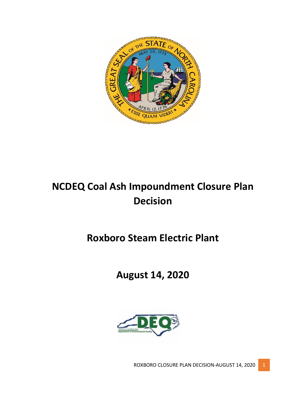

# **NCDEQ Coal Ash Impoundment Closure Plan Decision**

## **Roxboro Steam Electric Plant**

## **August 14, 2020**



ROXBORO CLOSURE PLAN DECISION-AUGUST 14, 2020 1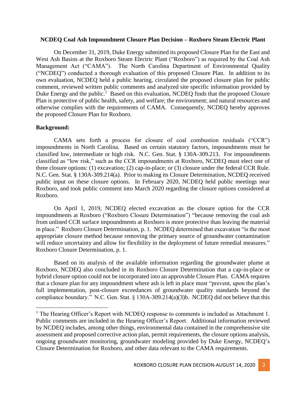#### **NCDEQ Coal Ash Impoundment Closure Plan Decision – Roxboro Steam Electric Plant**

On December 31, 2019, Duke Energy submitted its proposed Closure Plan for the East and West Ash Basins at the Roxboro Steam Electric Plant ("Roxboro") as required by the Coal Ash Management Act ("CAMA"). The North Carolina Department of Environmental Quality ("NCDEQ") conducted a thorough evaluation of this proposed Closure Plan. In addition to its own evaluation, NCDEQ held a public hearing, circulated the proposed closure plan for public comment, reviewed written public comments and analyzed site specific information provided by Duke Energy and the public.<sup>1</sup> Based on this evaluation, NCDEQ finds that the proposed Closure Plan is protective of public health, safety, and welfare; the environment; and natural resources and otherwise complies with the requirements of CAMA. Consequently, NCDEQ hereby approves the proposed Closure Plan for Roxboro.

#### **Background:**

l

CAMA sets forth a process for closure of coal combustion residuals ("CCR") impoundments in North Carolina. Based on certain statutory factors, impoundments must be classified low, intermediate or high risk. N.C. Gen. Stat. § 130A-309.213. For impoundments classified as "low risk," such as the CCR impoundments at Roxboro, NCDEQ must elect one of three closure options: (1) excavation; (2) cap-in-place; or (3) closure under the federal CCR Rule. N.C. Gen. Stat. § 130A-309.214(a). Prior to making its Closure Determination, NCDEQ received public input on these closure options. In February 2020, NCDEQ held public meetings near Roxboro, and took public comment into March 2020 regarding the closure options considered at Roxboro.

On April 1, 2019, NCDEQ elected excavation as the closure option for the CCR impoundments at Roxboro ("Roxboro Closure Determination") "because removing the coal ash from unlined CCR surface impoundments at Roxboro is more protective than leaving the material in place." Roxboro Closure Determination, p. 1. NCDEQ determined that excavation "is the most appropriate closure method because removing the primary source of groundwater contamination will reduce uncertainty and allow for flexibility in the deployment of future remedial measures." Roxboro Closure Determination, p. 1.

Based on its analysis of the available information regarding the groundwater plume at Roxboro, NCDEQ also concluded in its Roxboro Closure Determination that a cap-in-place or hybrid closure option could not be incorporated into an approvable Closure Plan. CAMA requires that a closure plan for any impoundment where ash is left in place must "prevent, upon the plan's full implementation, post-closure exceedances of groundwater quality standards beyond the compliance boundary." N.C. Gen. Stat. § 130A-309.214(a)(3)b. NCDEQ did not believe that this

 $<sup>1</sup>$  The Hearing Officer's Report with NCDEQ response to comments is included as Attachment 1.</sup> Public comments are included in the Hearing Officer's Report. Additional information reviewed by NCDEQ includes, among other things, environmental data contained in the comprehensive site assessment and proposed corrective action plan, permit requirements, the closure options analysis, ongoing groundwater monitoring, groundwater modeling provided by Duke Energy, NCDEQ's Closure Determination for Roxboro, and other data relevant to the CAMA requirements.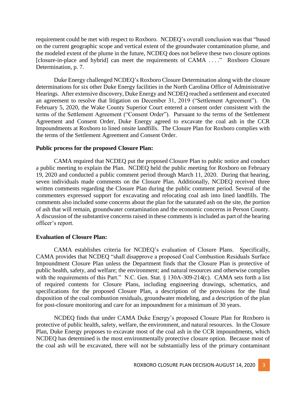requirement could be met with respect to Roxboro. NCDEQ's overall conclusion was that "based on the current geographic scope and vertical extent of the groundwater contamination plume, and the modeled extent of the plume in the future, NCDEQ does not believe these two closure options [closure-in-place and hybrid] can meet the requirements of CAMA . . . ." Roxboro Closure Determination, p. 7.

Duke Energy challenged NCDEQ's Roxboro Closure Determination along with the closure determinations for six other Duke Energy facilities in the North Carolina Office of Administrative Hearings. After extensive discovery, Duke Energy and NCDEQ reached a settlement and executed an agreement to resolve that litigation on December 31, 2019 ("Settlement Agreement"). On February 5, 2020, the Wake County Superior Court entered a consent order consistent with the terms of the Settlement Agreement ("Consent Order"). Pursuant to the terms of the Settlement Agreement and Consent Order, Duke Energy agreed to excavate the coal ash in the CCR Impoundments at Roxboro to lined onsite landfills. The Closure Plan for Roxboro complies with the terms of the Settlement Agreement and Consent Order.

#### **Public process for the proposed Closure Plan:**

CAMA required that NCDEQ put the proposed Closure Plan to public notice and conduct a public meeting to explain the Plan. NCDEQ held the public meeting for Roxboro on February 19, 2020 and conducted a public comment period through March 11, 2020. During that hearing, seven individuals made comments on the Closure Plan. Additionally, NCDEQ received three written comments regarding the Closure Plan during the public comment period. Several of the commenters expressed support for excavating and relocating coal ash into lined landfills. The comments also included some concerns about the plan for the saturated ash on the site, the portion of ash that will remain, groundwater contamination and the economic concerns in Person County. A discussion of the substantive concerns raised in these comments is included as part of the hearing officer's report.

#### **Evaluation of Closure Plan:**

CAMA establishes criteria for NCDEQ's evaluation of Closure Plans. Specifically, CAMA provides that NCDEQ "shall disapprove a proposed Coal Combustion Residuals Surface Impoundment Closure Plan unless the Department finds that the Closure Plan is protective of public health, safety, and welfare; the environment; and natural resources and otherwise complies with the requirements of this Part." N.C. Gen. Stat. § 130A-309-214(c). CAMA sets forth a list of required contents for Closure Plans, including engineering drawings, schematics, and specifications for the proposed Closure Plan, a description of the provisions for the final disposition of the coal combustion residuals, groundwater modeling, and a description of the plan for post-closure monitoring and care for an impoundment for a minimum of 30 years.

NCDEQ finds that under CAMA Duke Energy's proposed Closure Plan for Roxboro is protective of public health, safety, welfare, the environment, and natural resources. In the Closure Plan, Duke Energy proposes to excavate most of the coal ash in the CCR impoundments, which NCDEQ has determined is the most environmentally protective closure option. Because most of the coal ash will be excavated, there will not be substantially less of the primary contaminant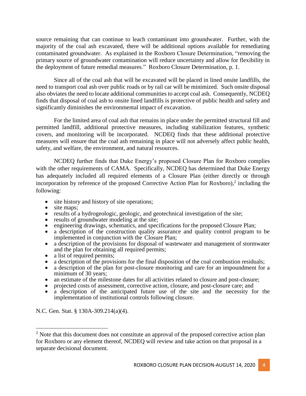source remaining that can continue to leach contaminant into groundwater. Further, with the majority of the coal ash excavated, there will be additional options available for remediating contaminated groundwater. As explained in the Roxboro Closure Determination, "removing the primary source of groundwater contamination will reduce uncertainty and allow for flexibility in the deployment of future remedial measures." Roxboro Closure Determination, p. 1.

Since all of the coal ash that will be excavated will be placed in lined onsite landfills, the need to transport coal ash over public roads or by rail car will be minimized. Such onsite disposal also obviates the need to locate additional communities to accept coal ash. Consequently, NCDEQ finds that disposal of coal ash to onsite lined landfills is protective of public health and safety and significantly diminishes the environmental impact of excavation.

For the limited area of coal ash that remains in place under the permitted structural fill and permitted landfill, additional protective measures, including stabilization features, synthetic covers, and monitoring will be incorporated. NCDEQ finds that these additional protective measures will ensure that the coal ash remaining in place will not adversely affect public health, safety, and welfare, the environment, and natural resources.

NCDEQ further finds that Duke Energy's proposed Closure Plan for Roxboro complies with the other requirements of CAMA. Specifically, NCDEO has determined that Duke Energy has adequately included all required elements of a Closure Plan (either directly or through incorporation by reference of the proposed Corrective Action Plan for Roxboro), $2$  including the following:

- site history and history of site operations;
- site maps;
- results of a hydrogeologic, geologic, and geotechnical investigation of the site;
- results of groundwater modeling at the site;
- engineering drawings, schematics, and specifications for the proposed Closure Plan;
- a description of the construction quality assurance and quality control program to be implemented in conjunction with the Closure Plan;
- a description of the provisions for disposal of wastewater and management of stormwater and the plan for obtaining all required permits;
- a list of required permits;
- a description of the provisions for the final disposition of the coal combustion residuals;
- a description of the plan for post-closure monitoring and care for an impoundment for a minimum of 30 years;
- an estimate of the milestone dates for all activities related to closure and post-closure;
- projected costs of assessment, corrective action, closure, and post-closure care; and
- a description of the anticipated future use of the site and the necessity for the implementation of institutional controls following closure.

N.C. Gen. Stat. § 130A-309.214(a)(4).

 $\overline{\phantom{a}}$ 

<sup>&</sup>lt;sup>2</sup> Note that this document does not constitute an approval of the proposed corrective action plan for Roxboro or any element thereof, NCDEQ will review and take action on that proposal in a separate decisional document.